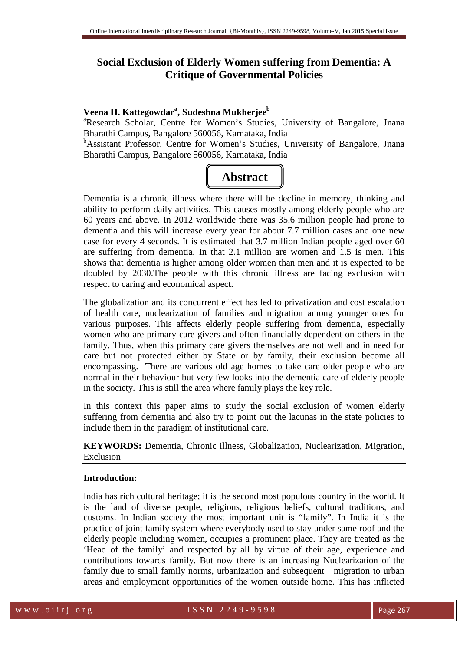# **Social Exclusion of Elderly Women suffering from Dementia: A Critique of Governmental Policies**

## **Veena H. Kattegowdar<sup>a</sup> , Sudeshna Mukherjee<sup>b</sup>**

<sup>a</sup>Research Scholar, Centre for Women's Studies, University of Bangalore, Jnana Bharathi Campus, Bangalore 560056, Karnataka, India

<sup>b</sup>Assistant Professor, Centre for Women's Studies, University of Bangalore, Jnana Bharathi Campus, Bangalore 560056, Karnataka, India



Dementia is a chronic illness where there will be decline in memory, thinking and ability to perform daily activities. This causes mostly among elderly people who are 60 years and above. In 2012 worldwide there was 35.6 million people had prone to dementia and this will increase every year for about 7.7 million cases and one new case for every 4 seconds. It is estimated that 3.7 million Indian people aged over 60 are suffering from dementia. In that 2.1 million are women and 1.5 is men. This shows that dementia is higher among older women than men and it is expected to be doubled by 2030.The people with this chronic illness are facing exclusion with respect to caring and economical aspect.

The globalization and its concurrent effect has led to privatization and cost escalation of health care, nuclearization of families and migration among younger ones for various purposes. This affects elderly people suffering from dementia, especially women who are primary care givers and often financially dependent on others in the family. Thus, when this primary care givers themselves are not well and in need for care but not protected either by State or by family, their exclusion become all encompassing. There are various old age homes to take care older people who are normal in their behaviour but very few looks into the dementia care of elderly people in the society. This is still the area where family plays the key role.

In this context this paper aims to study the social exclusion of women elderly suffering from dementia and also try to point out the lacunas in the state policies to include them in the paradigm of institutional care.

**KEYWORDS:** Dementia, Chronic illness, Globalization, Nuclearization, Migration, Exclusion

### **Introduction:**

India has rich cultural heritage; it is the second most populous country in the world. It is the land of diverse people, religions, religious beliefs, cultural traditions, and customs. In Indian society the most important unit is "family". In India it is the practice of joint family system where everybody used to stay under same roof and the elderly people including women, occupies a prominent place. They are treated as the 'Head of the family' and respected by all by virtue of their age, experience and contributions towards family. But now there is an increasing Nuclearization of the family due to small family norms, urbanization and subsequent migration to urban areas and employment opportunities of the women outside home. This has inflicted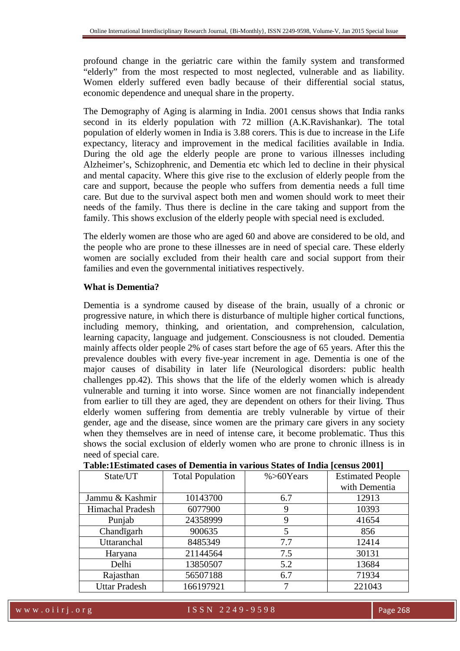profound change in the geriatric care within the family system and transformed "elderly" from the most respected to most neglected, vulnerable and as liability. Women elderly suffered even badly because of their differential social status, economic dependence and unequal share in the property.

The Demography of Aging is alarming in India. 2001 census shows that India ranks second in its elderly population with 72 million (A.K.Ravishankar). The total population of elderly women in India is 3.88 corers. This is due to increase in the Life expectancy, literacy and improvement in the medical facilities available in India. During the old age the elderly people are prone to various illnesses including Alzheimer's, Schizophrenic, and Dementia etc which led to decline in their physical and mental capacity. Where this give rise to the exclusion of elderly people from the care and support, because the people who suffers from dementia needs a full time care. But due to the survival aspect both men and women should work to meet their needs of the family. Thus there is decline in the care taking and support from the family. This shows exclusion of the elderly people with special need is excluded.

The elderly women are those who are aged 60 and above are considered to be old, and the people who are prone to these illnesses are in need of special care. These elderly women are socially excluded from their health care and social support from their families and even the governmental initiatives respectively.

### **What is Dementia?**

Dementia is a syndrome caused by disease of the brain, usually of a chronic or progressive nature, in which there is disturbance of multiple higher cortical functions, including memory, thinking, and orientation, and comprehension, calculation, learning capacity, language and judgement. Consciousness is not clouded. Dementia mainly affects older people 2% of cases start before the age of 65 years. After this the prevalence doubles with every five-year increment in age. Dementia is one of the major causes of disability in later life (Neurological disorders: public health challenges pp.42). This shows that the life of the elderly women which is already vulnerable and turning it into worse. Since women are not financially independent from earlier to till they are aged, they are dependent on others for their living. Thus elderly women suffering from dementia are trebly vulnerable by virtue of their gender, age and the disease, since women are the primary care givers in any society when they themselves are in need of intense care, it become problematic. Thus this shows the social exclusion of elderly women who are prone to chronic illness is in need of special care.

| State/UT             | <b>Total Population</b> | $% > 60$ Years | <b>Estimated People</b> |
|----------------------|-------------------------|----------------|-------------------------|
|                      |                         |                | with Dementia           |
| Jammu & Kashmir      | 10143700                | 6.7            | 12913                   |
| Himachal Pradesh     | 6077900                 | 9              | 10393                   |
| Punjab               | 24358999                | 9              | 41654                   |
| Chandigarh           | 900635                  | 5              | 856                     |
| Uttaranchal          | 8485349                 | 7.7            | 12414                   |
| Haryana              | 21144564                | 7.5            | 30131                   |
| Delhi                | 13850507                | 5.2            | 13684                   |
| Rajasthan            | 56507188                | 6.7            | 71934                   |
| <b>Uttar Pradesh</b> | 166197921               |                | 221043                  |

### **Table:1Estimated cases of Dementia in various States of India [census 2001]**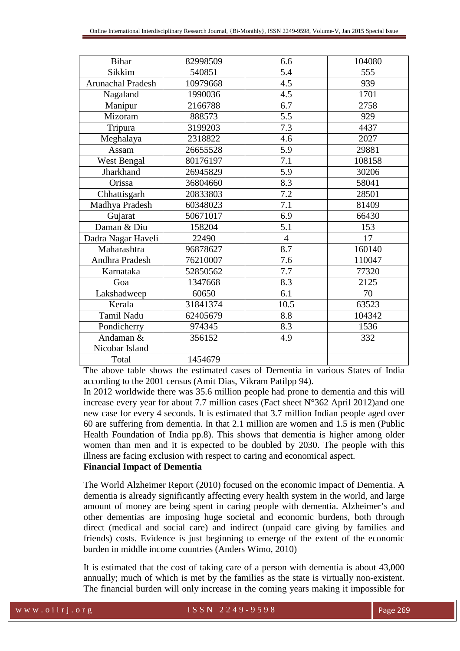| <b>Bihar</b>             | 82998509 | 6.6            | 104080 |
|--------------------------|----------|----------------|--------|
| Sikkim                   | 540851   | 5.4            | 555    |
| <b>Arunachal Pradesh</b> | 10979668 | 4.5            | 939    |
| Nagaland                 | 1990036  | 4.5            | 1701   |
| Manipur                  | 2166788  | 6.7            | 2758   |
| Mizoram                  | 888573   | 5.5            | 929    |
| Tripura                  | 3199203  | 7.3            | 4437   |
| Meghalaya                | 2318822  | 4.6            | 2027   |
| Assam                    | 26655528 | 5.9            | 29881  |
| West Bengal              | 80176197 | 7.1            | 108158 |
| Jharkhand                | 26945829 | 5.9            | 30206  |
| Orissa                   | 36804660 | 8.3            | 58041  |
| Chhattisgarh             | 20833803 | 7.2            | 28501  |
| Madhya Pradesh           | 60348023 | 7.1            | 81409  |
| Gujarat                  | 50671017 | 6.9            | 66430  |
| Daman & Diu              | 158204   | 5.1            | 153    |
| Dadra Nagar Haveli       | 22490    | $\overline{4}$ | 17     |
| Maharashtra              | 96878627 | 8.7            | 160140 |
| Andhra Pradesh           | 76210007 | 7.6            | 110047 |
| Karnataka                | 52850562 | 7.7            | 77320  |
| Goa                      | 1347668  | 8.3            | 2125   |
| Lakshadweep              | 60650    | 6.1            | 70     |
| Kerala                   | 31841374 | 10.5           | 63523  |
| Tamil Nadu               | 62405679 | 8.8            | 104342 |
| Pondicherry              | 974345   | 8.3            | 1536   |
| Andaman &                | 356152   | 4.9            | 332    |
| Nicobar Island           |          |                |        |
| Total                    | 1454679  |                |        |

The above table shows the estimated cases of Dementia in various States of India according to the 2001 census (Amit Dias, Vikram Patilpp 94).

In 2012 worldwide there was 35.6 million people had prone to dementia and this will increase every year for about 7.7 million cases (Fact sheet N°362 April 2012)and one new case for every 4 seconds. It is estimated that 3.7 million Indian people aged over 60 are suffering from dementia. In that 2.1 million are women and 1.5 is men (Public Health Foundation of India pp.8). This shows that dementia is higher among older women than men and it is expected to be doubled by 2030. The people with this illness are facing exclusion with respect to caring and economical aspect.

### **Financial Impact of Dementia**

The World Alzheimer Report (2010) focused on the economic impact of Dementia. A dementia is already significantly affecting every health system in the world, and large amount of money are being spent in caring people with dementia. Alzheimer's and other dementias are imposing huge societal and economic burdens, both through direct (medical and social care) and indirect (unpaid care giving by families and friends) costs. Evidence is just beginning to emerge of the extent of the economic burden in middle income countries (Anders Wimo, 2010)

It is estimated that the cost of taking care of a person with dementia is about 43,000 annually; much of which is met by the families as the state is virtually non-existent. The financial burden will only increase in the coming years making it impossible for

w w w . o i i r j . o r g second to second the SSN 2249-9598 Page 269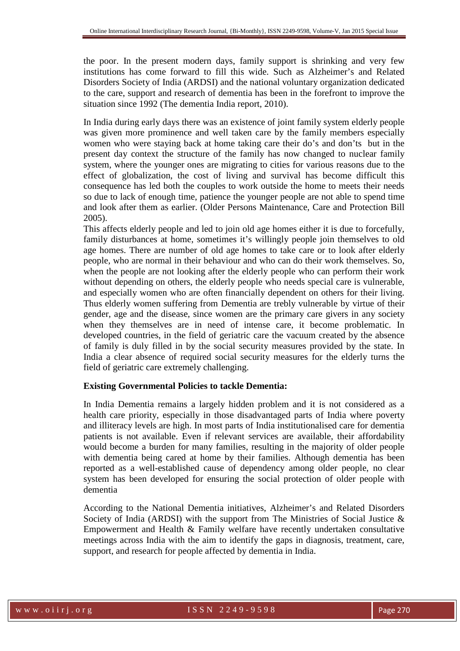the poor. In the present modern days, family support is shrinking and very few institutions has come forward to fill this wide. Such as Alzheimer's and Related Disorders Society of India (ARDSI) and the national voluntary organization dedicated to the care, support and research of dementia has been in the forefront to improve the situation since 1992 (The dementia India report, 2010).

In India during early days there was an existence of joint family system elderly people was given more prominence and well taken care by the family members especially women who were staying back at home taking care their do's and don'ts but in the present day context the structure of the family has now changed to nuclear family system, where the younger ones are migrating to cities for various reasons due to the effect of globalization, the cost of living and survival has become difficult this consequence has led both the couples to work outside the home to meets their needs so due to lack of enough time, patience the younger people are not able to spend time and look after them as earlier. (Older Persons Maintenance, Care and Protection Bill 2005).

This affects elderly people and led to join old age homes either it is due to forcefully, family disturbances at home, sometimes it's willingly people join themselves to old age homes. There are number of old age homes to take care or to look after elderly people, who are normal in their behaviour and who can do their work themselves. So, when the people are not looking after the elderly people who can perform their work without depending on others, the elderly people who needs special care is vulnerable, and especially women who are often financially dependent on others for their living. Thus elderly women suffering from Dementia are trebly vulnerable by virtue of their gender, age and the disease, since women are the primary care givers in any society when they themselves are in need of intense care, it become problematic. In developed countries, in the field of geriatric care the vacuum created by the absence of family is duly filled in by the social security measures provided by the state. In India a clear absence of required social security measures for the elderly turns the field of geriatric care extremely challenging.

#### **Existing Governmental Policies to tackle Dementia:**

In India Dementia remains a largely hidden problem and it is not considered as a health care priority, especially in those disadvantaged parts of India where poverty and illiteracy levels are high. In most parts of India institutionalised care for dementia patients is not available. Even if relevant services are available, their affordability would become a burden for many families, resulting in the majority of older people with dementia being cared at home by their families. Although dementia has been reported as a well-established cause of dependency among older people, no clear system has been developed for ensuring the social protection of older people with dementia

According to the National Dementia initiatives, Alzheimer's and Related Disorders Society of India (ARDSI) with the support from The Ministries of Social Justice & Empowerment and Health & Family welfare have recently undertaken consultative meetings across India with the aim to identify the gaps in diagnosis, treatment, care, support, and research for people affected by dementia in India.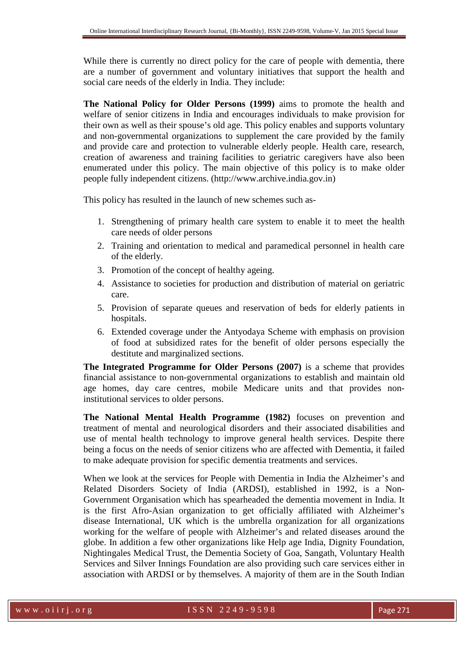While there is currently no direct policy for the care of people with dementia, there are a number of government and voluntary initiatives that support the health and social care needs of the elderly in India. They include:

**The National Policy for Older Persons (1999)** aims to promote the health and welfare of senior citizens in India and encourages individuals to make provision for their own as well as their spouse's old age. This policy enables and supports voluntary and non-governmental organizations to supplement the care provided by the family and provide care and protection to vulnerable elderly people. Health care, research, creation of awareness and training facilities to geriatric caregivers have also been enumerated under this policy. The main objective of this policy is to make older people fully independent citizens. (http://www.archive.india.gov.in)

This policy has resulted in the launch of new schemes such as-

- 1. Strengthening of primary health care system to enable it to meet the health care needs of older persons
- 2. Training and orientation to medical and paramedical personnel in health care of the elderly.
- 3. Promotion of the concept of healthy ageing.
- 4. Assistance to societies for production and distribution of material on geriatric care.
- 5. Provision of separate queues and reservation of beds for elderly patients in hospitals.
- 6. Extended coverage under the Antyodaya Scheme with emphasis on provision of food at subsidized rates for the benefit of older persons especially the destitute and marginalized sections.

**The Integrated Programme for Older Persons (2007)** is a scheme that provides financial assistance to non-governmental organizations to establish and maintain old age homes, day care centres, mobile Medicare units and that provides noninstitutional services to older persons.

**The National Mental Health Programme (1982)** focuses on prevention and treatment of mental and neurological disorders and their associated disabilities and use of mental health technology to improve general health services. Despite there being a focus on the needs of senior citizens who are affected with Dementia, it failed to make adequate provision for specific dementia treatments and services.

When we look at the services for People with Dementia in India the Alzheimer's and Related Disorders Society of India (ARDSI), established in 1992, is a Non-Government Organisation which has spearheaded the dementia movement in India. It is the first Afro-Asian organization to get officially affiliated with Alzheimer's disease International, UK which is the umbrella organization for all organizations working for the welfare of people with Alzheimer's and related diseases around the globe. In addition a few other organizations like Help age India, Dignity Foundation, Nightingales Medical Trust, the Dementia Society of Goa, Sangath, Voluntary Health Services and Silver Innings Foundation are also providing such care services either in association with ARDSI or by themselves. A majority of them are in the South Indian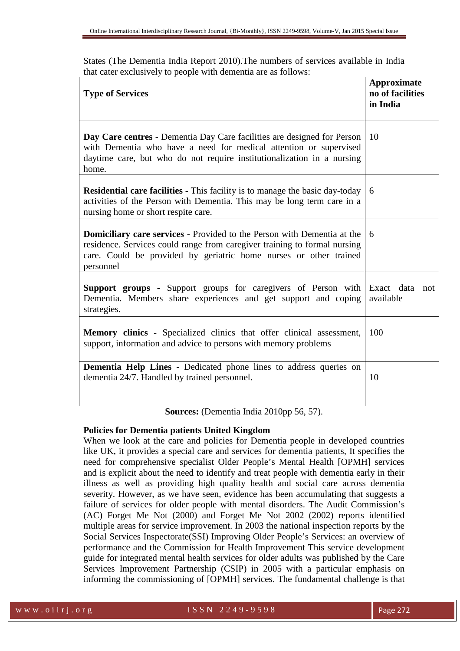States (The Dementia India Report 2010).The numbers of services available in India that cater exclusively to people with dementia are as follows:

| <b>Type of Services</b>                                                                                                                                                                                                                       | <b>Approximate</b><br>no of facilities<br>in India |
|-----------------------------------------------------------------------------------------------------------------------------------------------------------------------------------------------------------------------------------------------|----------------------------------------------------|
| Day Care centres - Dementia Day Care facilities are designed for Person<br>with Dementia who have a need for medical attention or supervised<br>daytime care, but who do not require institutionalization in a nursing<br>home.               | 10                                                 |
| <b>Residential care facilities - This facility is to manage the basic day-today</b><br>activities of the Person with Dementia. This may be long term care in a<br>nursing home or short respite care.                                         | 6                                                  |
| <b>Domiciliary care services - Provided to the Person with Dementia at the</b><br>residence. Services could range from caregiver training to formal nursing<br>care. Could be provided by geriatric home nurses or other trained<br>personnel | 6                                                  |
| <b>Support groups -</b> Support groups for caregivers of Person with<br>Dementia. Members share experiences and get support and coping<br>strategies.                                                                                         | Exact data not<br>available                        |
| <b>Memory clinics -</b> Specialized clinics that offer clinical assessment,<br>support, information and advice to persons with memory problems                                                                                                | 100                                                |
| Dementia Help Lines - Dedicated phone lines to address queries on<br>dementia 24/7. Handled by trained personnel.<br>$\mathbf{r}$ is a $\mathbf{r}$ and $\mathbf{r}$ and $\mathbf{r}$                                                         | 10                                                 |

**Sources:** (Dementia India 2010pp 56, 57).

### **Policies for Dementia patients United Kingdom**

When we look at the care and policies for Dementia people in developed countries like UK, it provides a special care and services for dementia patients, It specifies the need for comprehensive specialist Older People's Mental Health [OPMH] services and is explicit about the need to identify and treat people with dementia early in their illness as well as providing high quality health and social care across dementia severity. However, as we have seen, evidence has been accumulating that suggests a failure of services for older people with mental disorders. The Audit Commission's (AC) Forget Me Not (2000) and Forget Me Not 2002 (2002) reports identified multiple areas for service improvement. In 2003 the national inspection reports by the Social Services Inspectorate(SSI) Improving Older People's Services: an overview of performance and the Commission for Health Improvement This service development guide for integrated mental health services for older adults was published by the Care Services Improvement Partnership (CSIP) in 2005 with a particular emphasis on informing the commissioning of [OPMH] services. The fundamental challenge is that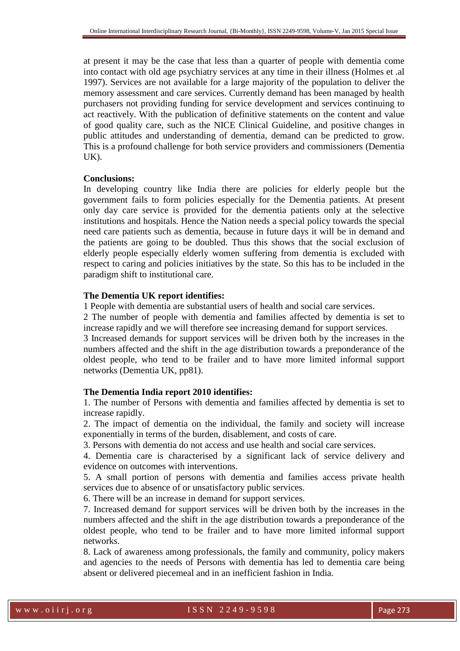at present it may be the case that less than a quarter of people with dementia come into contact with old age psychiatry services at any time in their illness (Holmes et .al 1997). Services are not available for a large majority of the population to deliver the memory assessment and care services. Currently demand has been managed by health purchasers not providing funding for service development and services continuing to act reactively. With the publication of definitive statements on the content and value of good quality care, such as the NICE Clinical Guideline, and positive changes in public attitudes and understanding of dementia, demand can be predicted to grow. This is a profound challenge for both service providers and commissioners (Dementia UK).

#### **Conclusions:**

In developing country like India there are policies for elderly people but the government fails to form policies especially for the Dementia patients. At present only day care service is provided for the dementia patients only at the selective institutions and hospitals. Hence the Nation needs a special policy towards the special need care patients such as dementia, because in future days it will be in demand and the patients are going to be doubled. Thus this shows that the social exclusion of elderly people especially elderly women suffering from dementia is excluded with respect to caring and policies initiatives by the state. So this has to be included in the paradigm shift to institutional care.

### **The Dementia UK report identifies:**

1 People with dementia are substantial users of health and social care services.

2 The number of people with dementia and families affected by dementia is set to increase rapidly and we will therefore see increasing demand for support services.

3 Increased demands for support services will be driven both by the increases in the numbers affected and the shift in the age distribution towards a preponderance of the oldest people, who tend to be frailer and to have more limited informal support networks (Dementia UK, pp81).

#### **The Dementia India report 2010 identifies:**

1. The number of Persons with dementia and families affected by dementia is set to increase rapidly.

2. The impact of dementia on the individual, the family and society will increase exponentially in terms of the burden, disablement, and costs of care.

3. Persons with dementia do not access and use health and social care services.

4. Dementia care is characterised by a significant lack of service delivery and evidence on outcomes with interventions.

5. A small portion of persons with dementia and families access private health services due to absence of or unsatisfactory public services.

6. There will be an increase in demand for support services.

7. Increased demand for support services will be driven both by the increases in the numbers affected and the shift in the age distribution towards a preponderance of the oldest people, who tend to be frailer and to have more limited informal support networks.

8. Lack of awareness among professionals, the family and community, policy makers and agencies to the needs of Persons with dementia has led to dementia care being absent or delivered piecemeal and in an inefficient fashion in India.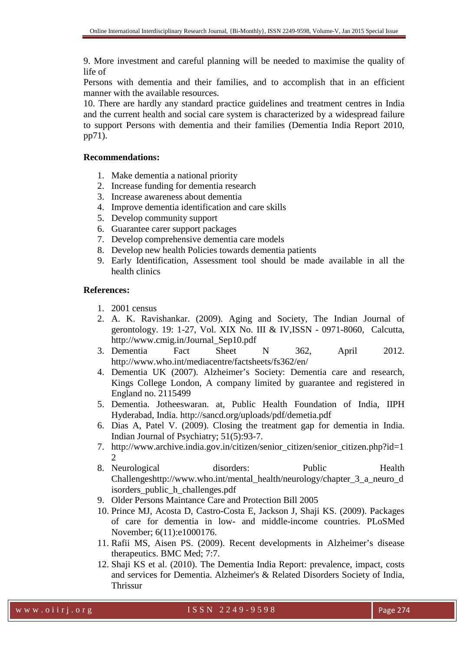9. More investment and careful planning will be needed to maximise the quality of life of

Persons with dementia and their families, and to accomplish that in an efficient manner with the available resources.

10. There are hardly any standard practice guidelines and treatment centres in India and the current health and social care system is characterized by a widespread failure to support Persons with dementia and their families (Dementia India Report 2010, pp71).

### **Recommendations:**

- 1. Make dementia a national priority
- 2. Increase funding for dementia research
- 3. Increase awareness about dementia
- 4. Improve dementia identification and care skills
- 5. Develop community support
- 6. Guarantee carer support packages
- 7. Develop comprehensive dementia care models
- 8. Develop new health Policies towards dementia patients
- 9. Early Identification, Assessment tool should be made available in all the health clinics

### **References:**

- 1. 2001 census
- 2. A. K. Ravishankar. (2009). Aging and Society, The Indian Journal of gerontology. 19: 1-27, Vol. XIX No. III & IV,ISSN - 0971-8060, Calcutta, http://www.cmig.in/Journal\_Sep10.pdf
- 3. Dementia Fact Sheet N 362, April 2012. http://www.who.int/mediacentre/factsheets/fs362/en/
- 4. Dementia UK (2007). Alzheimer's Society: Dementia care and research, Kings College London, A company limited by guarantee and registered in England no. 2115499
- 5. Dementia. Jotheeswaran. at, Public Health Foundation of India, IIPH Hyderabad, India. http://sancd.org/uploads/pdf/demetia.pdf
- 6. Dias A, Patel V. (2009). Closing the treatment gap for dementia in India. Indian Journal of Psychiatry; 51(5):93-7.
- 7. http://www.archive.india.gov.in/citizen/senior\_citizen/senior\_citizen.php?id=1 2
- 8. Neurological disorders: Public Health Challengeshttp://www.who.int/mental\_health/neurology/chapter\_3\_a\_neuro\_d isorders\_public\_h\_challenges.pdf
- 9. Older Persons Maintance Care and Protection Bill 2005
- 10. Prince MJ, Acosta D, Castro-Costa E, Jackson J, Shaji KS. (2009). Packages of care for dementia in low- and middle-income countries. PLoSMed November; 6(11):e1000176.
- 11. Rafii MS, Aisen PS. (2009). Recent developments in Alzheimer's disease therapeutics. BMC Med; 7:7.
- 12. Shaji KS et al. (2010). The Dementia India Report: prevalence, impact, costs and services for Dementia. Alzheimer's & Related Disorders Society of India, **Thrissur**